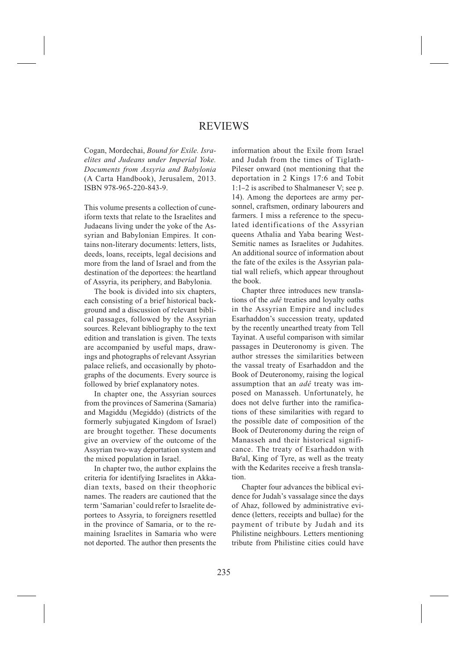## REVIEWS

Cogan, Mordechai, *Bound for Exile. Israelites and Judeans under Imperial Yoke. Documents from Assyria and Babylonia* (A Carta Handbook), Jerusalem, 2013. ISBN 978-965-220-843-9.

This volume presents a collection of cuneiform texts that relate to the Israelites and Judaeans living under the yoke of the Assyrian and Babylonian Empires. It contains non-literary documents: letters, lists, deeds, loans, receipts, legal decisions and more from the land of Israel and from the destination of the deportees: the heartland of Assyria, its periphery, and Babylonia.

The book is divided into six chapters, each consisting of a brief historical background and a discussion of relevant biblical passages, followed by the Assyrian sources. Relevant bibliography to the text edition and translation is given. The texts are accompanied by useful maps, drawings and photographs of relevant Assyrian palace reliefs, and occasionally by photographs of the documents. Every source is followed by brief explanatory notes.

In chapter one, the Assyrian sources from the provinces of Samerina (Samaria) and Magiddu (Megiddo) (districts of the formerly subjugated Kingdom of Israel) are brought together. These documents give an overview of the outcome of the Assyrian two-way deportation system and the mixed population in Israel.

In chapter two, the author explains the criteria for identifying Israelites in Akkadian texts, based on their theophoric names. The readers are cautioned that the term 'Samarian'could refer to Israelite deportees to Assyria, to foreigners resettled in the province of Samaria, or to the remaining Israelites in Samaria who were not deported. The author then presents the

information about the Exile from Israel and Judah from the times of Tiglath-Pileser onward (not mentioning that the deportation in 2 Kings 17:6 and Tobit 1:1–2 is ascribed to Shalmaneser V; see p. 14). Among the deportees are army personnel, craftsmen, ordinary labourers and farmers. I miss a reference to the speculated identifications of the Assyrian queens Athalia and Yaba bearing West-Semitic names as Israelites or Judahites. An additional source of information about the fate of the exiles is the Assyrian palatial wall reliefs, which appear throughout the book.

Chapter three introduces new translations of the *adê* treaties and loyalty oaths in the Assyrian Empire and includes Esarhaddon's succession treaty, updated by the recently unearthed treaty from Tell Tayinat. A useful comparison with similar passages in Deuteronomy is given. The author stresses the similarities between the vassal treaty of Esarhaddon and the Book of Deuteronomy, raising the logical assumption that an *adê* treaty was imposed on Manasseh. Unfortunately, he does not delve further into the ramifications of these similarities with regard to the possible date of composition of the Book of Deuteronomy during the reign of Manasseh and their historical significance. The treaty of Esarhaddon with Baªal, King of Tyre, as well as the treaty with the Kedarites receive a fresh translation.

Chapter four advances the biblical evidence for Judah's vassalage since the days of Ahaz, followed by administrative evidence (letters, receipts and bullae) for the payment of tribute by Judah and its Philistine neighbours. Letters mentioning tribute from Philistine cities could have